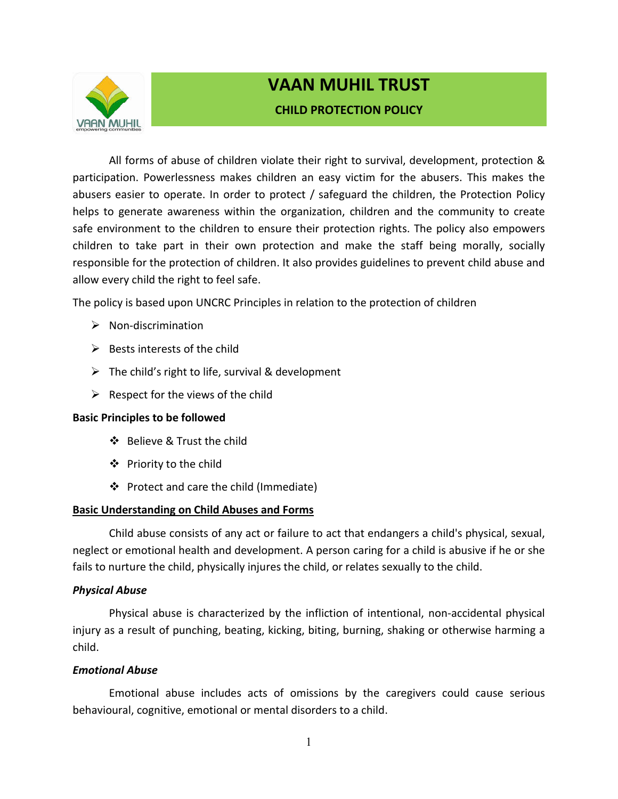

# **VAAN MUHIL TRUST CHILD PROTECTION POLICY**

All forms of abuse of children violate their right to survival, development, protection & participation. Powerlessness makes children an easy victim for the abusers. This makes the abusers easier to operate. In order to protect / safeguard the children, the Protection Policy helps to generate awareness within the organization, children and the community to create safe environment to the children to ensure their protection rights. The policy also empowers children to take part in their own protection and make the staff being morally, socially responsible for the protection of children. It also provides guidelines to prevent child abuse and allow every child the right to feel safe.

The policy is based upon UNCRC Principles in relation to the protection of children

- $\triangleright$  Non-discrimination
- $\triangleright$  Bests interests of the child
- $\triangleright$  The child's right to life, survival & development
- $\triangleright$  Respect for the views of the child

### **Basic Principles to be followed**

- ❖ Believe & Trust the child
- ❖ Priority to the child
- $\div$  Protect and care the child (Immediate)

### **Basic Understanding on Child Abuses and Forms**

Child abuse consists of any act or failure to act that endangers a child's physical, sexual, neglect or emotional health and development. A person caring for a child is abusive if he or she fails to nurture the child, physically injures the child, or relates sexually to the child.

#### *Physical Abuse*

Physical abuse is characterized by the infliction of intentional, non-accidental physical injury as a result of punching, beating, kicking, biting, burning, shaking or otherwise harming a child.

### *Emotional Abuse*

Emotional abuse includes acts of omissions by the caregivers could cause serious behavioural, cognitive, emotional or mental disorders to a child.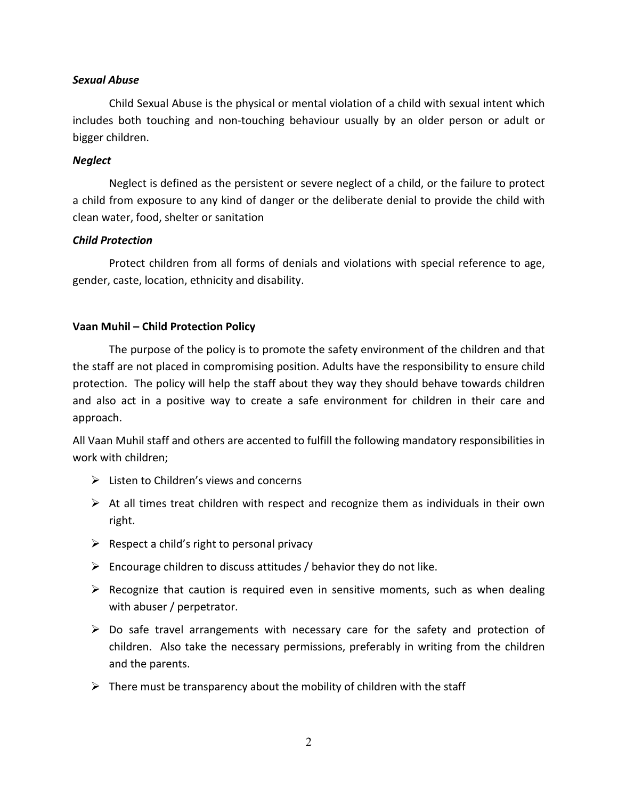### *Sexual Abuse*

Child Sexual Abuse is the physical or mental violation of a child with sexual intent which includes both touching and non-touching behaviour usually by an older person or adult or bigger children.

#### *Neglect*

Neglect is defined as the persistent or severe neglect of a child, or the failure to protect a child from exposure to any kind of danger or the deliberate denial to provide the child with clean water, food, shelter or sanitation

### *Child Protection*

Protect children from all forms of denials and violations with special reference to age, gender, caste, location, ethnicity and disability.

### **Vaan Muhil – Child Protection Policy**

The purpose of the policy is to promote the safety environment of the children and that the staff are not placed in compromising position. Adults have the responsibility to ensure child protection. The policy will help the staff about they way they should behave towards children and also act in a positive way to create a safe environment for children in their care and approach.

All Vaan Muhil staff and others are accented to fulfill the following mandatory responsibilities in work with children;

- $\triangleright$  Listen to Children's views and concerns
- $\triangleright$  At all times treat children with respect and recognize them as individuals in their own right.
- $\triangleright$  Respect a child's right to personal privacy
- $\triangleright$  Encourage children to discuss attitudes / behavior they do not like.
- $\triangleright$  Recognize that caution is required even in sensitive moments, such as when dealing with abuser / perpetrator.
- $\triangleright$  Do safe travel arrangements with necessary care for the safety and protection of children. Also take the necessary permissions, preferably in writing from the children and the parents.
- $\triangleright$  There must be transparency about the mobility of children with the staff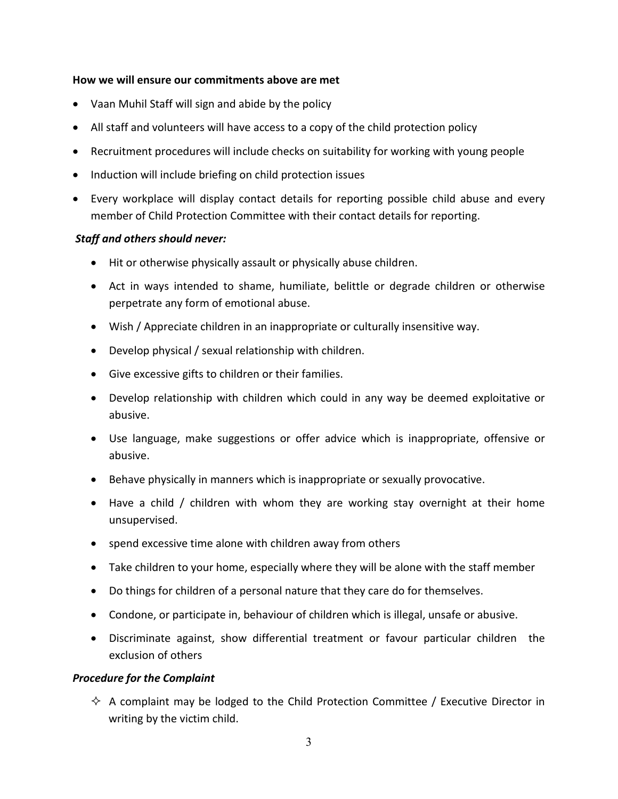#### **How we will ensure our commitments above are met**

- Vaan Muhil Staff will sign and abide by the policy
- All staff and volunteers will have access to a copy of the child protection policy
- Recruitment procedures will include checks on suitability for working with young people
- Induction will include briefing on child protection issues
- Every workplace will display contact details for reporting possible child abuse and every member of Child Protection Committee with their contact details for reporting.

### *Staff and others should never:*

- Hit or otherwise physically assault or physically abuse children.
- Act in ways intended to shame, humiliate, belittle or degrade children or otherwise perpetrate any form of emotional abuse.
- Wish / Appreciate children in an inappropriate or culturally insensitive way.
- Develop physical / sexual relationship with children.
- Give excessive gifts to children or their families.
- Develop relationship with children which could in any way be deemed exploitative or abusive.
- Use language, make suggestions or offer advice which is inappropriate, offensive or abusive.
- Behave physically in manners which is inappropriate or sexually provocative.
- Have a child / children with whom they are working stay overnight at their home unsupervised.
- spend excessive time alone with children away from others
- Take children to your home, especially where they will be alone with the staff member
- Do things for children of a personal nature that they care do for themselves.
- Condone, or participate in, behaviour of children which is illegal, unsafe or abusive.
- Discriminate against, show differential treatment or favour particular children the exclusion of others

### *Procedure for the Complaint*

 $\Diamond$  A complaint may be lodged to the Child Protection Committee / Executive Director in writing by the victim child.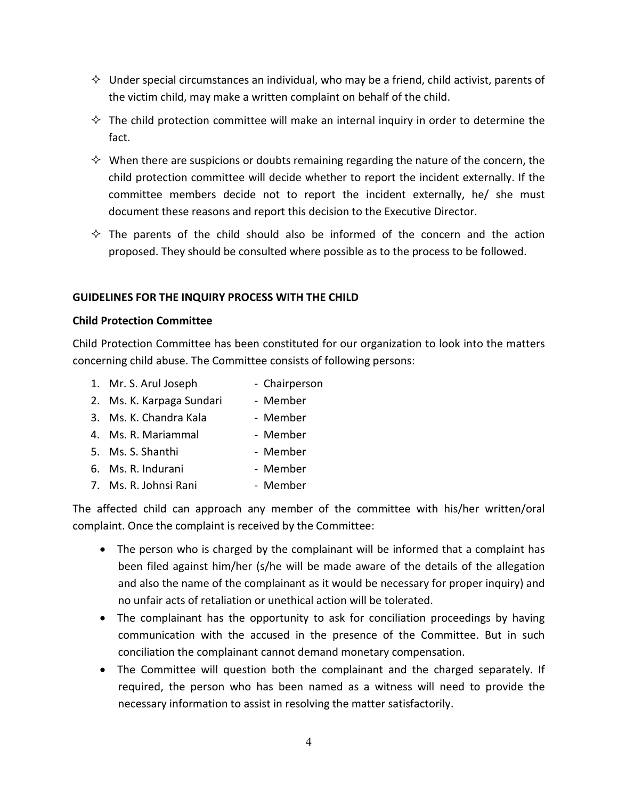- $\Diamond$  Under special circumstances an individual, who may be a friend, child activist, parents of the victim child, may make a written complaint on behalf of the child.
- $\Diamond$  The child protection committee will make an internal inquiry in order to determine the fact.
- $\Diamond$  When there are suspicions or doubts remaining regarding the nature of the concern, the child protection committee will decide whether to report the incident externally. If the committee members decide not to report the incident externally, he/ she must document these reasons and report this decision to the Executive Director.
- $\diamond$  The parents of the child should also be informed of the concern and the action proposed. They should be consulted where possible as to the process to be followed.

### **GUIDELINES FOR THE INQUIRY PROCESS WITH THE CHILD**

### **Child Protection Committee**

Child Protection Committee has been constituted for our organization to look into the matters concerning child abuse. The Committee consists of following persons:

- 1. Mr. S. Arul Joseph Chairperson
- 2. Ms. K. Karpaga Sundari Member
- 3. Ms. K. Chandra Kala <sup>-</sup> Member
- 4. Ms. R. Mariammal Member
- 5. Ms. S. Shanthi Member
- 6. Ms. R. Indurani Member
- 7. Ms. R. Johnsi Rani Member

The affected child can approach any member of the committee with his/her written/oral complaint. Once the complaint is received by the Committee:

- The person who is charged by the complainant will be informed that a complaint has been filed against him/her (s/he will be made aware of the details of the allegation and also the name of the complainant as it would be necessary for proper inquiry) and no unfair acts of retaliation or unethical action will be tolerated.
- The complainant has the opportunity to ask for conciliation proceedings by having communication with the accused in the presence of the Committee. But in such conciliation the complainant cannot demand monetary compensation.
- The Committee will question both the complainant and the charged separately. If required, the person who has been named as a witness will need to provide the necessary information to assist in resolving the matter satisfactorily.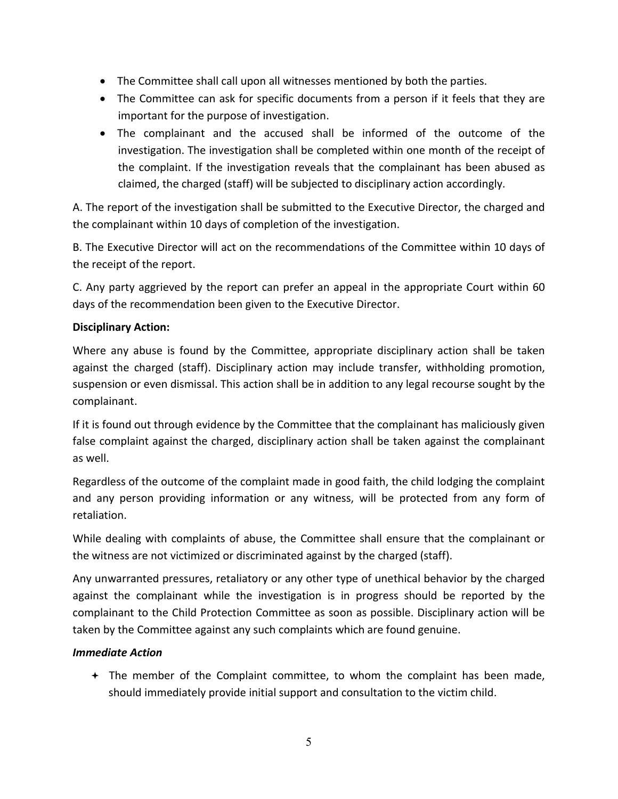- The Committee shall call upon all witnesses mentioned by both the parties.
- The Committee can ask for specific documents from a person if it feels that they are important for the purpose of investigation.
- The complainant and the accused shall be informed of the outcome of the investigation. The investigation shall be completed within one month of the receipt of the complaint. If the investigation reveals that the complainant has been abused as claimed, the charged (staff) will be subjected to disciplinary action accordingly.

A. The report of the investigation shall be submitted to the Executive Director, the charged and the complainant within 10 days of completion of the investigation.

B. The Executive Director will act on the recommendations of the Committee within 10 days of the receipt of the report.

C. Any party aggrieved by the report can prefer an appeal in the appropriate Court within 60 days of the recommendation been given to the Executive Director.

## **Disciplinary Action:**

Where any abuse is found by the Committee, appropriate disciplinary action shall be taken against the charged (staff). Disciplinary action may include transfer, withholding promotion, suspension or even dismissal. This action shall be in addition to any legal recourse sought by the complainant.

If it is found out through evidence by the Committee that the complainant has maliciously given false complaint against the charged, disciplinary action shall be taken against the complainant as well.

Regardless of the outcome of the complaint made in good faith, the child lodging the complaint and any person providing information or any witness, will be protected from any form of retaliation.

While dealing with complaints of abuse, the Committee shall ensure that the complainant or the witness are not victimized or discriminated against by the charged (staff).

Any unwarranted pressures, retaliatory or any other type of unethical behavior by the charged against the complainant while the investigation is in progress should be reported by the complainant to the Child Protection Committee as soon as possible. Disciplinary action will be taken by the Committee against any such complaints which are found genuine.

## *Immediate Action*

 The member of the Complaint committee, to whom the complaint has been made, should immediately provide initial support and consultation to the victim child.